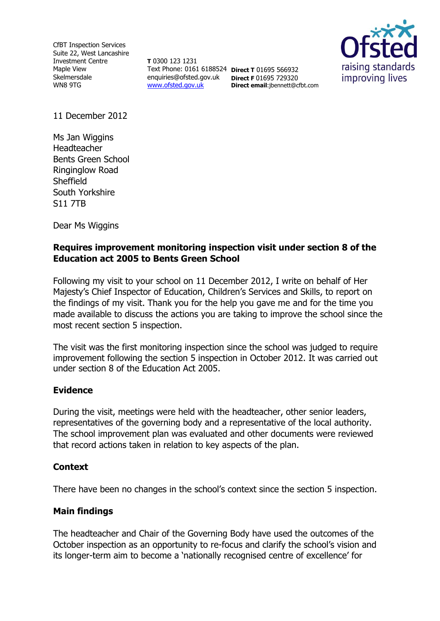CfBT Inspection Services Suite 22, West Lancashire Investment Centre Maple View Skelmersdale WN8 9TG

**T** 0300 123 1231 Text Phone: 0161 6188524 **Direct T** 01695 566932 enquiries@ofsted.gov.uk **Direct F** 01695 729320 [www.ofsted.gov.uk](http://www.ofsted.gov.uk/)



11 December 2012

Ms Jan Wiggins Headteacher Bents Green School Ringinglow Road Sheffield South Yorkshire S11 7TB

Dear Ms Wiggins

## **Requires improvement monitoring inspection visit under section 8 of the Education act 2005 to Bents Green School**

**Direct email**:jbennett@cfbt.com

Following my visit to your school on 11 December 2012, I write on behalf of Her Majesty's Chief Inspector of Education, Children's Services and Skills, to report on the findings of my visit. Thank you for the help you gave me and for the time you made available to discuss the actions you are taking to improve the school since the most recent section 5 inspection.

The visit was the first monitoring inspection since the school was judged to require improvement following the section 5 inspection in October 2012. It was carried out under section 8 of the Education Act 2005.

## **Evidence**

During the visit, meetings were held with the headteacher, other senior leaders, representatives of the governing body and a representative of the local authority. The school improvement plan was evaluated and other documents were reviewed that record actions taken in relation to key aspects of the plan.

## **Context**

There have been no changes in the school's context since the section 5 inspection.

## **Main findings**

The headteacher and Chair of the Governing Body have used the outcomes of the October inspection as an opportunity to re-focus and clarify the school's vision and its longer-term aim to become a 'nationally recognised centre of excellence' for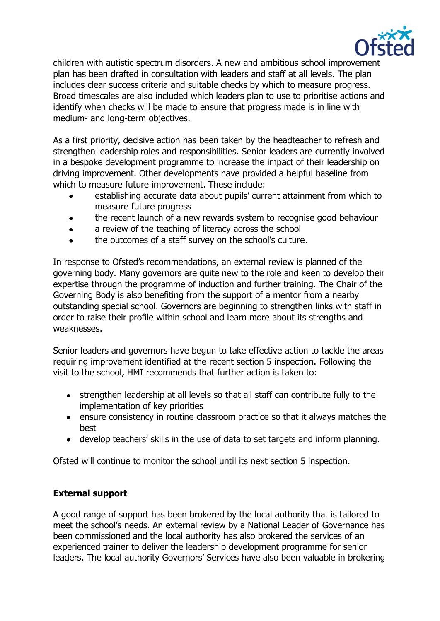

children with autistic spectrum disorders. A new and ambitious school improvement plan has been drafted in consultation with leaders and staff at all levels. The plan includes clear success criteria and suitable checks by which to measure progress. Broad timescales are also included which leaders plan to use to prioritise actions and identify when checks will be made to ensure that progress made is in line with medium- and long-term objectives.

As a first priority, decisive action has been taken by the headteacher to refresh and strengthen leadership roles and responsibilities. Senior leaders are currently involved in a bespoke development programme to increase the impact of their leadership on driving improvement. Other developments have provided a helpful baseline from which to measure future improvement. These include:

- establishing accurate data about pupils' current attainment from which to measure future progress
- the recent launch of a new rewards system to recognise good behaviour
- a review of the teaching of literacy across the school  $\bullet$
- the outcomes of a staff survey on the school's culture.

In response to Ofsted's recommendations, an external review is planned of the governing body. Many governors are quite new to the role and keen to develop their expertise through the programme of induction and further training. The Chair of the Governing Body is also benefiting from the support of a mentor from a nearby outstanding special school. Governors are beginning to strengthen links with staff in order to raise their profile within school and learn more about its strengths and weaknesses.

Senior leaders and governors have begun to take effective action to tackle the areas requiring improvement identified at the recent section 5 inspection. Following the visit to the school, HMI recommends that further action is taken to:

- strengthen leadership at all levels so that all staff can contribute fully to the implementation of key priorities
- ensure consistency in routine classroom practice so that it always matches the best
- develop teachers' skills in the use of data to set targets and inform planning.

Ofsted will continue to monitor the school until its next section 5 inspection.

# **External support**

A good range of support has been brokered by the local authority that is tailored to meet the school's needs. An external review by a National Leader of Governance has been commissioned and the local authority has also brokered the services of an experienced trainer to deliver the leadership development programme for senior leaders. The local authority Governors' Services have also been valuable in brokering